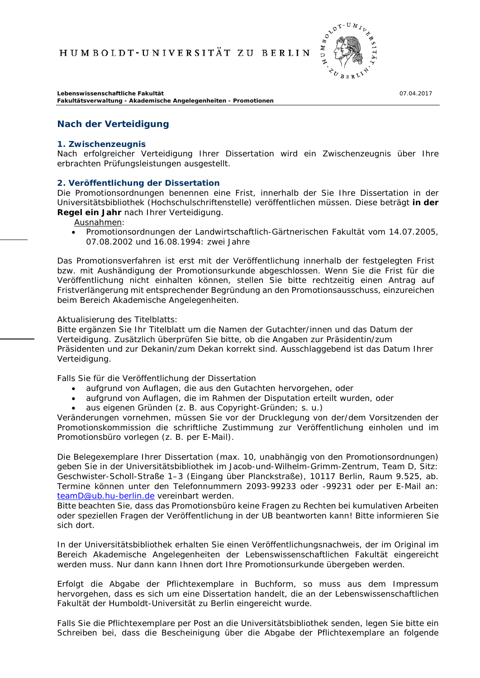

**Lebenswissenschaftliche Fakultät** 07.04.2017 **Fakultätsverwaltung - Akademische Angelegenheiten - Promotionen**

# **Nach der Verteidigung**

### **1. Zwischenzeugnis**

Nach erfolgreicher Verteidigung Ihrer Dissertation wird ein Zwischenzeugnis über Ihre erbrachten Prüfungsleistungen ausgestellt.

## **2. Veröffentlichung der Dissertation**

Die Promotionsordnungen benennen eine Frist, innerhalb der Sie Ihre Dissertation in der Universitätsbibliothek (Hochschulschriftenstelle) veröffentlichen müssen. Diese beträgt **in der Regel ein Jahr** nach Ihrer Verteidigung.

Ausnahmen:

• Promotionsordnungen der Landwirtschaftlich-Gärtnerischen Fakultät vom 14.07.2005, 07.08.2002 und 16.08.1994: zwei Jahre

Das Promotionsverfahren ist erst mit der Veröffentlichung innerhalb der festgelegten Frist bzw. mit Aushändigung der Promotionsurkunde abgeschlossen. Wenn Sie die Frist für die Veröffentlichung nicht einhalten können, stellen Sie bitte rechtzeitig einen Antrag auf Fristverlängerung mit entsprechender Begründung an den Promotionsausschuss, einzureichen beim Bereich Akademische Angelegenheiten.

Aktualisierung des Titelblatts:

Bitte ergänzen Sie Ihr Titelblatt um die Namen der Gutachter/innen und das Datum der Verteidigung. Zusätzlich überprüfen Sie bitte, ob die Angaben zur Präsidentin/zum Präsidenten und zur Dekanin/zum Dekan korrekt sind. Ausschlaggebend ist das Datum Ihrer Verteidigung.

Falls Sie für die Veröffentlichung der Dissertation

- aufgrund von Auflagen, die aus den Gutachten hervorgehen, oder
- aufgrund von Auflagen, die im Rahmen der Disputation erteilt wurden, oder
- aus eigenen Gründen (z. B. aus Copyright-Gründen; s. u.)

Veränderungen vornehmen, müssen Sie vor der Drucklegung von der/dem Vorsitzenden der Promotionskommission die schriftliche Zustimmung zur Veröffentlichung einholen und im Promotionsbüro vorlegen (z. B. per E-Mail).

Die Belegexemplare Ihrer Dissertation (max. 10, unabhängig von den Promotionsordnungen) geben Sie in der Universitätsbibliothek im Jacob-und-Wilhelm-Grimm-Zentrum, Team D, Sitz: Geschwister-Scholl-Straße 1–3 (Eingang über Planckstraße), 10117 Berlin, Raum 9.525, ab. Termine können unter den Telefonnummern 2093-99233 oder -99231 oder per E-Mail an: [teamD@ub.hu-berlin.de](mailto:teamD@ub.hu-berlin.de) vereinbart werden.

Bitte beachten Sie, dass das Promotionsbüro keine Fragen zu Rechten bei kumulativen Arbeiten oder speziellen Fragen der Veröffentlichung in der UB beantworten kann! Bitte informieren Sie sich dort.

In der Universitätsbibliothek erhalten Sie einen Veröffentlichungsnachweis, der im Original im Bereich Akademische Angelegenheiten der Lebenswissenschaftlichen Fakultät eingereicht werden muss. Nur dann kann Ihnen dort Ihre Promotionsurkunde übergeben werden.

Erfolgt die Abgabe der Pflichtexemplare in Buchform, so muss aus dem Impressum hervorgehen, dass es sich um eine Dissertation handelt, die an der Lebenswissenschaftlichen Fakultät der Humboldt-Universität zu Berlin eingereicht wurde.

Falls Sie die Pflichtexemplare per Post an die Universitätsbibliothek senden, legen Sie bitte ein Schreiben bei, dass die Bescheinigung über die Abgabe der Pflichtexemplare an folgende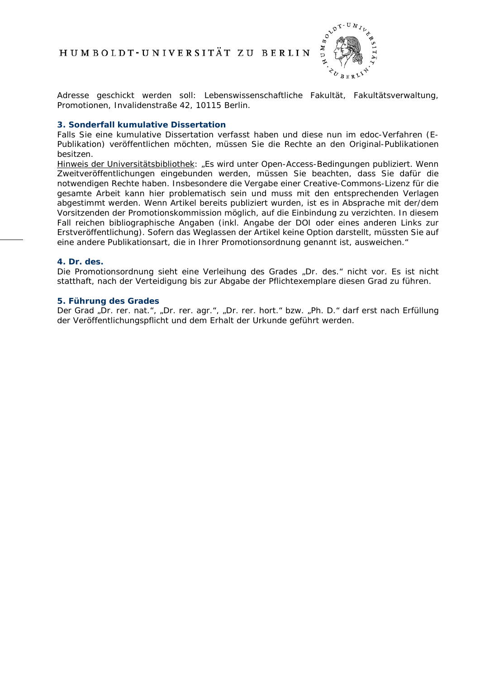

Adresse geschickt werden soll: Lebenswissenschaftliche Fakultät, Fakultätsverwaltung, Promotionen, Invalidenstraße 42, 10115 Berlin.

## **3. Sonderfall kumulative Dissertation**

Falls Sie eine kumulative Dissertation verfasst haben und diese nun im edoc-Verfahren (E-Publikation) veröffentlichen möchten, müssen Sie die Rechte an den Original-Publikationen besitzen.

Hinweis der Universitätsbibliothek: *"Es wird unter Open-Access-Bedingungen publiziert. Wenn Zweitveröffentlichungen eingebunden werden, müssen Sie beachten, dass Sie dafür die notwendigen Rechte haben. Insbesondere die Vergabe einer Creative-Commons-Lizenz für die gesamte Arbeit kann hier problematisch sein und muss mit den entsprechenden Verlagen abgestimmt werden. Wenn Artikel bereits publiziert wurden, ist es in Absprache mit der/dem Vorsitzenden der Promotionskommission möglich, auf die Einbindung zu verzichten. In diesem Fall reichen bibliographische Angaben (inkl. Angabe der DOI oder eines anderen Links zur Erstveröffentlichung). Sofern das Weglassen der Artikel keine Option darstellt, müssten Sie auf eine andere Publikationsart, die in Ihrer Promotionsordnung genannt ist, ausweichen."*

## **4. Dr. des.**

Die Promotionsordnung sieht eine Verleihung des Grades "Dr. des." nicht vor. Es ist nicht statthaft, nach der Verteidigung bis zur Abgabe der Pflichtexemplare diesen Grad zu führen.

#### **5. Führung des Grades**

Der Grad "Dr. rer. nat.", "Dr. rer. agr.", "Dr. rer. hort." bzw. "Ph. D." darf erst nach Erfüllung der Veröffentlichungspflicht und dem Erhalt der Urkunde geführt werden.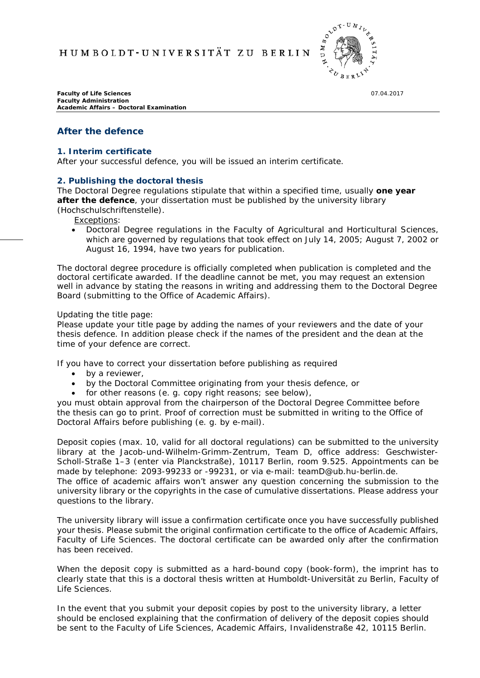HUMBOLDT-UNIVERSITÄT ZU BERLIN



**Faculty of Life Sciences** 07.04.2017 **Faculty Administration Academic Affairs – Doctoral Examination**

## **After the defence**

#### **1. Interim certificate**

After your successful defence, you will be issued an interim certificate.

## **2. Publishing the doctoral thesis**

The Doctoral Degree regulations stipulate that within a specified time, usually **one year after the defence**, your dissertation must be published by the university library (Hochschulschriftenstelle).

Exceptions:

• Doctoral Degree regulations in the Faculty of Agricultural and Horticultural Sciences, which are governed by regulations that took effect on July 14, 2005; August 7, 2002 or August 16, 1994, have two years for publication.

The doctoral degree procedure is officially completed when publication is completed and the doctoral certificate awarded. If the deadline cannot be met, you may request an extension well in advance by stating the reasons in writing and addressing them to the Doctoral Degree Board (submitting to the Office of Academic Affairs).

#### Updating the title page:

Please update your title page by adding the names of your reviewers and the date of your thesis defence. In addition please check if the names of the president and the dean at the time of your defence are correct.

If you have to correct your dissertation before publishing as required

- by a reviewer,
- by the Doctoral Committee originating from your thesis defence, or
- for other reasons (e. g. copy right reasons; see below),

you must obtain approval from the chairperson of the Doctoral Degree Committee before the thesis can go to print. Proof of correction must be submitted in writing to the Office of Doctoral Affairs before publishing (e. g. by e-mail).

Deposit copies (max. 10, valid for all doctoral regulations) can be submitted to the university library at the Jacob-und-Wilhelm-Grimm-Zentrum, Team D, office address: Geschwister-Scholl-Straße 1–3 (enter via Planckstraße), 10117 Berlin, room 9.525. Appointments can be made by telephone: 2093-99233 or -99231, or via e-mail: teamD@ub.hu-berlin.de. The office of academic affairs won't answer any question concerning the submission to the university library or the copyrights in the case of cumulative dissertations. Please address your questions to the library.

The university library will issue a confirmation certificate once you have successfully published your thesis. Please submit the original confirmation certificate to the office of Academic Affairs, Faculty of Life Sciences. The doctoral certificate can be awarded only after the confirmation has been received.

When the deposit copy is submitted as a hard-bound copy (book-form), the imprint has to clearly state that this is a doctoral thesis written at Humboldt-Universität zu Berlin, Faculty of Life Sciences.

In the event that you submit your deposit copies by post to the university library, a letter should be enclosed explaining that the confirmation of delivery of the deposit copies should be sent to the Faculty of Life Sciences, Academic Affairs, Invalidenstraße 42, 10115 Berlin.